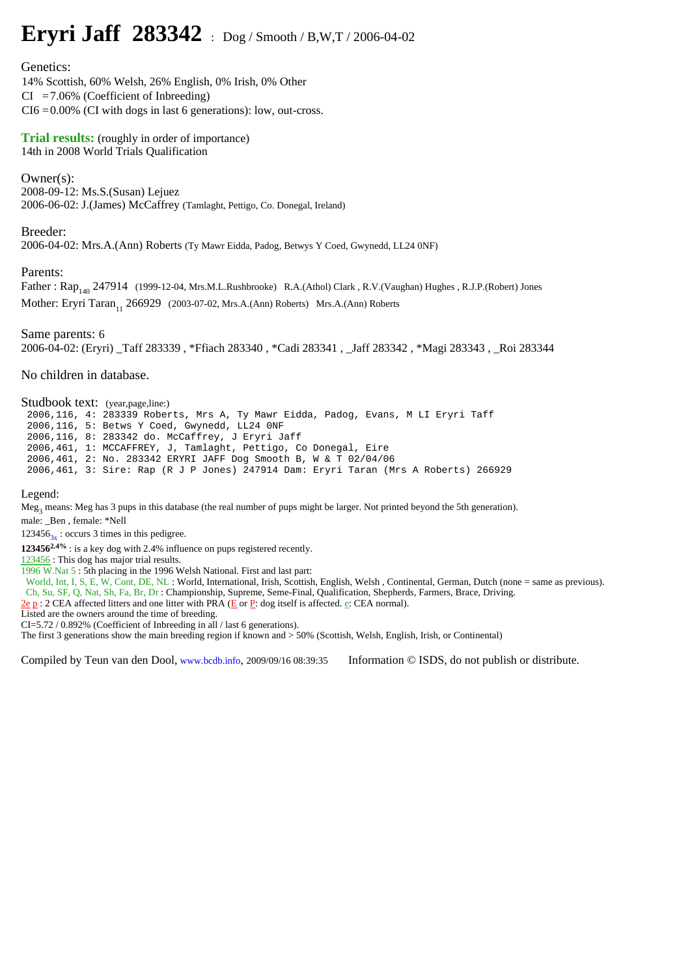## **Eryri Jaff 283342** : Dog / Smooth / B,W,T / 2006-04-02

Genetics:

14% Scottish, 60% Welsh, 26% English, 0% Irish, 0% Other  $CI = 7.06\%$  (Coefficient of Inbreeding)  $CI6 = 0.00\%$  (CI with dogs in last 6 generations): low, out-cross.

**Trial results:** (roughly in order of importance) 14th in 2008 World Trials Qualification

Owner(s): 2008-09-12: Ms.S.(Susan) Lejuez 2006-06-02: J.(James) McCaffrey (Tamlaght, Pettigo, Co. Donegal, Ireland)

Breeder:

2006-04-02: Mrs.A.(Ann) Roberts (Ty Mawr Eidda, Padog, Betwys Y Coed, Gwynedd, LL24 0NF)

Parents:

Father: Rap<sub>140</sub> 247914 (1999-12-04, Mrs.M.L.Rushbrooke) R.A.(Athol) Clark , R.V.(Vaughan) Hughes , R.J.P.(Robert) Jones Mother: Eryri Taran<sub>11</sub> 266929 (2003-07-02, Mrs.A.(Ann) Roberts) Mrs.A.(Ann) Roberts

Same parents: 6 2006-04-02: (Eryri) \_Taff 283339 , \*Ffiach 283340 , \*Cadi 283341 , \_Jaff 283342 , \*Magi 283343 , \_Roi 283344

No children in database.

Studbook text: (year,page,line:) 2006,116, 4: 283339 Roberts, Mrs A, Ty Mawr Eidda, Padog, Evans, M LI Eryri Taff 2006,116, 5: Betws Y Coed, Gwynedd, LL24 0NF 2006,116, 8: 283342 do. McCaffrey, J Eryri Jaff 2006,461, 1: MCCAFFREY, J, Tamlaght, Pettigo, Co Donegal, Eire 2006,461, 2: No. 283342 ERYRI JAFF Dog Smooth B, W & T 02/04/06 2006,461, 3: Sire: Rap (R J P Jones) 247914 Dam: Eryri Taran (Mrs A Roberts) 266929

Legend:

Meg<sub>3</sub> means: Meg has 3 pups in this database (the real number of pups might be larger. Not printed beyond the 5th generation).

male: \_Ben , female: \*Nell

 $123456$ <sub>3x</sub>: occurs 3 times in this pedigree.

**1234562.4%** : is a key dog with 2.4% influence on pups registered recently.

123456 : This dog has major trial results.

1996 W.Nat 5 : 5th placing in the 1996 Welsh National. First and last part:

World, Int, I, S, E, W, Cont, DE, NL : World, International, Irish, Scottish, English, Welsh, Continental, German, Dutch (none = same as previous). Ch, Su, SF, Q, Nat, Sh, Fa, Br, Dr : Championship, Supreme, Seme-Final, Qualification, Shepherds, Farmers, Brace, Driving.

**2e p** : 2 CEA affected litters and one litter with PRA ( $E$  or  $P$ : dog itself is affected. e: CEA normal).

Listed are the owners around the time of breeding.

CI=5.72 / 0.892% (Coefficient of Inbreeding in all / last 6 generations).

The first 3 generations show the main breeding region if known and > 50% (Scottish, Welsh, English, Irish, or Continental)

Compiled by Teun van den Dool, www.bcdb.info, 2009/09/16 08:39:35 Information © ISDS, do not publish or distribute.